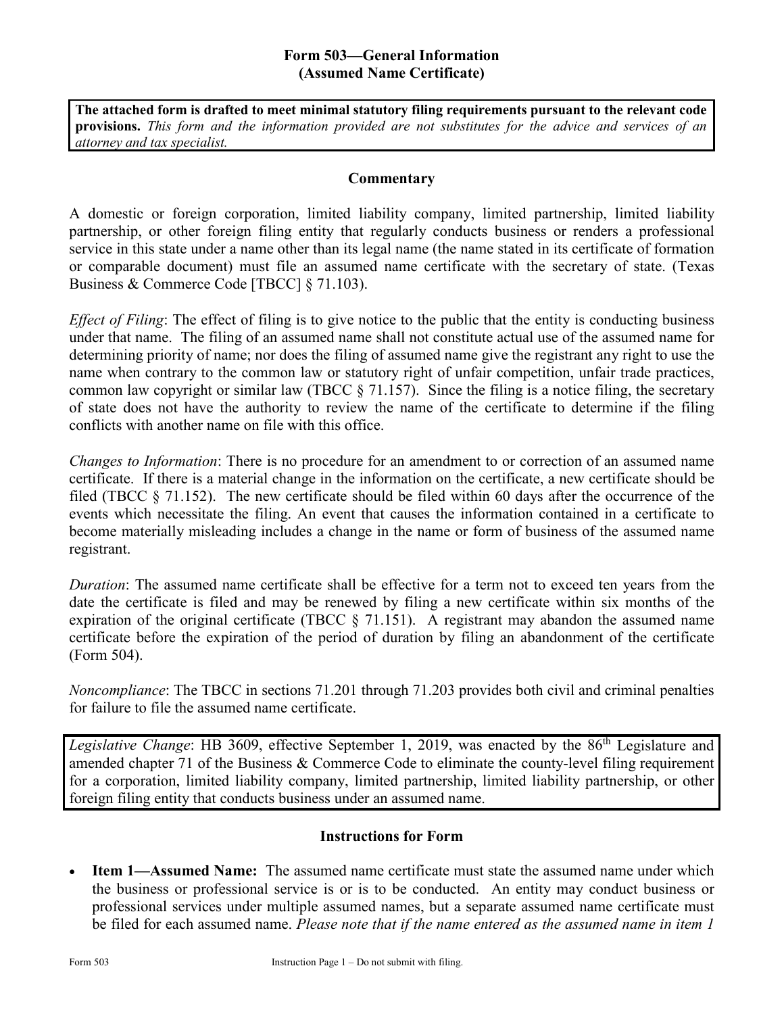### **Form 503—General Information (Assumed Name Certificate)**

**The attached form is drafted to meet minimal statutory filing requirements pursuant to the relevant code provisions.** *This form and the information provided are not substitutes for the advice and services of an attorney and tax specialist.*

#### **Commentary**

A domestic or foreign corporation, limited liability company, limited partnership, limited liability partnership, or other foreign filing entity that regularly conducts business or renders a professional service in this state under a name other than its legal name (the name stated in its certificate of formation or comparable document) must file an assumed name certificate with the secretary of state. (Texas Business & Commerce Code [TBCC] § 71.103).

*Effect of Filing*: The effect of filing is to give notice to the public that the entity is conducting business under that name. The filing of an assumed name shall not constitute actual use of the assumed name for determining priority of name; nor does the filing of assumed name give the registrant any right to use the name when contrary to the common law or statutory right of unfair competition, unfair trade practices, common law copyright or similar law (TBCC  $\S$  71.157). Since the filing is a notice filing, the secretary of state does not have the authority to review the name of the certificate to determine if the filing conflicts with another name on file with this office.

*Changes to Information*: There is no procedure for an amendment to or correction of an assumed name certificate. If there is a material change in the information on the certificate, a new certificate should be filed (TBCC  $\S$  71.152). The new certificate should be filed within 60 days after the occurrence of the events which necessitate the filing. An event that causes the information contained in a certificate to become materially misleading includes a change in the name or form of business of the assumed name registrant.

*Duration*: The assumed name certificate shall be effective for a term not to exceed ten years from the date the certificate is filed and may be renewed by filing a new certificate within six months of the expiration of the original certificate (TBCC § 71.151). A registrant may abandon the assumed name certificate before the expiration of the period of duration by filing an abandonment of the certificate (Form 504).

*Noncompliance*: The TBCC in sections 71.201 through 71.203 provides both civil and criminal penalties for failure to file the assumed name certificate.

*Legislative Change*: HB 3609, effective September 1, 2019, was enacted by the 86<sup>th</sup> Legislature and amended chapter 71 of the Business & Commerce Code to eliminate the county-level filing requirement for a corporation, limited liability company, limited partnership, limited liability partnership, or other foreign filing entity that conducts business under an assumed name.

### **Instructions for Form**

**Item 1—Assumed Name:** The assumed name certificate must state the assumed name under which the business or professional service is or is to be conducted. An entity may conduct business or professional services under multiple assumed names, but a separate assumed name certificate must be filed for each assumed name. *Please note that if the name entered as the assumed name in item 1*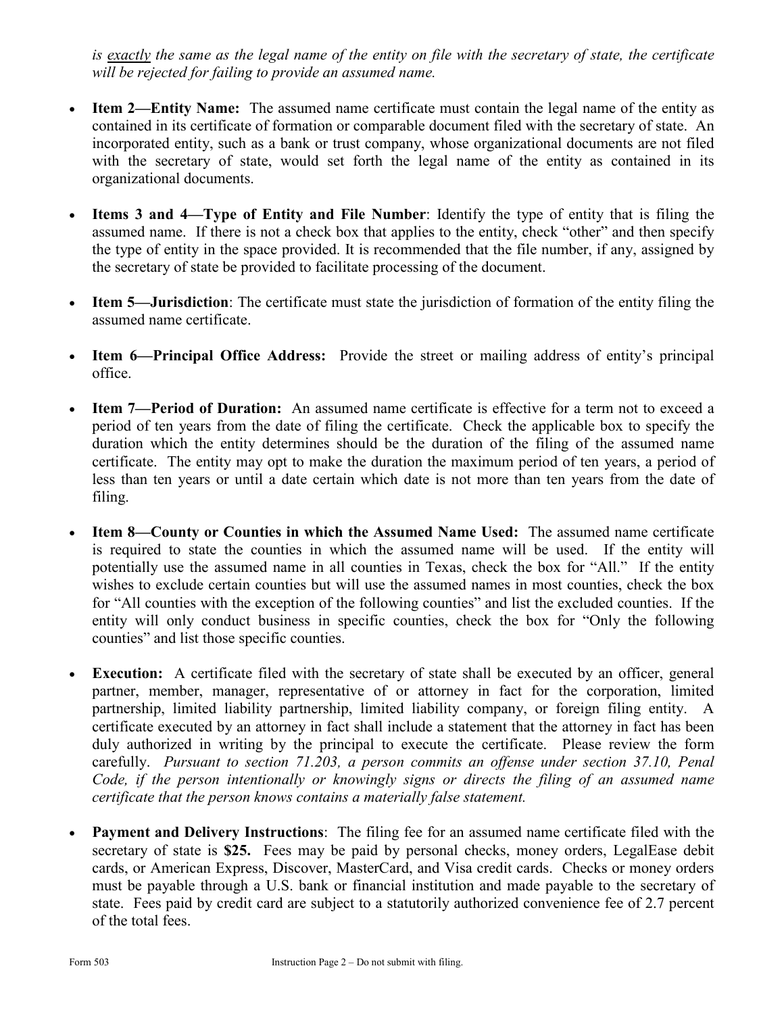*is exactly the same as the legal name of the entity on file with the secretary of state, the certificate will be rejected for failing to provide an assumed name.*

- **Item 2—Entity Name:** The assumed name certificate must contain the legal name of the entity as contained in its certificate of formation or comparable document filed with the secretary of state. An incorporated entity, such as a bank or trust company, whose organizational documents are not filed with the secretary of state, would set forth the legal name of the entity as contained in its organizational documents.
- **Items 3 and 4—Type of Entity and File Number**: Identify the type of entity that is filing the assumed name. If there is not a check box that applies to the entity, check "other" and then specify the type of entity in the space provided. It is recommended that the file number, if any, assigned by the secretary of state be provided to facilitate processing of the document.
- **Item 5—Jurisdiction**: The certificate must state the jurisdiction of formation of the entity filing the assumed name certificate.
- **Item 6—Principal Office Address:** Provide the street or mailing address of entity's principal office.
- **Item 7—Period of Duration:** An assumed name certificate is effective for a term not to exceed a period of ten years from the date of filing the certificate. Check the applicable box to specify the duration which the entity determines should be the duration of the filing of the assumed name certificate. The entity may opt to make the duration the maximum period of ten years, a period of less than ten years or until a date certain which date is not more than ten years from the date of filing.
- **Item 8—County or Counties in which the Assumed Name Used:** The assumed name certificate is required to state the counties in which the assumed name will be used. If the entity will potentially use the assumed name in all counties in Texas, check the box for "All." If the entity wishes to exclude certain counties but will use the assumed names in most counties, check the box for "All counties with the exception of the following counties" and list the excluded counties. If the entity will only conduct business in specific counties, check the box for "Only the following counties" and list those specific counties.
- **Execution:** A certificate filed with the secretary of state shall be executed by an officer, general partner, member, manager, representative of or attorney in fact for the corporation, limited partnership, limited liability partnership, limited liability company, or foreign filing entity. A certificate executed by an attorney in fact shall include a statement that the attorney in fact has been duly authorized in writing by the principal to execute the certificate. Please review the form carefully. *Pursuant to section 71.203, a person commits an offense under section 37.10, Penal Code, if the person intentionally or knowingly signs or directs the filing of an assumed name certificate that the person knows contains a materially false statement.*
- **Payment and Delivery Instructions**: The filing fee for an assumed name certificate filed with the secretary of state is **\$25.** Fees may be paid by personal checks, money orders, LegalEase debit cards, or American Express, Discover, MasterCard, and Visa credit cards. Checks or money orders must be payable through a U.S. bank or financial institution and made payable to the secretary of state. Fees paid by credit card are subject to a statutorily authorized convenience fee of 2.7 percent of the total fees.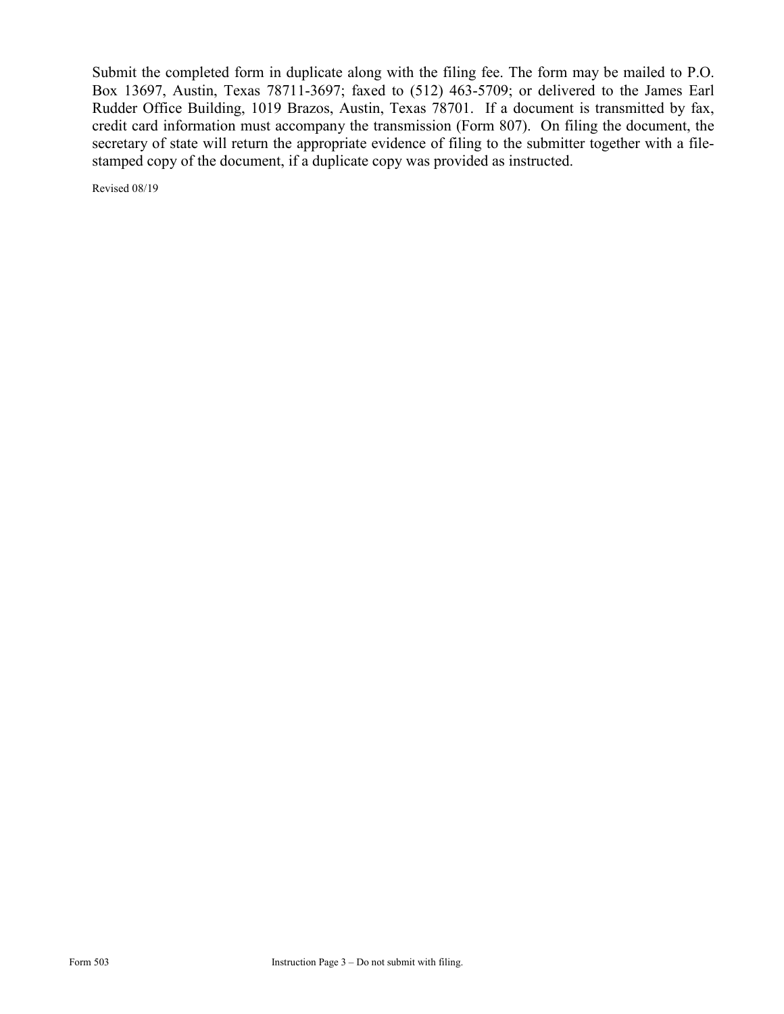Submit the completed form in duplicate along with the filing fee. The form may be mailed to P.O. Box 13697, Austin, Texas 78711-3697; faxed to (512) 463-5709; or delivered to the James Earl Rudder Office Building, 1019 Brazos, Austin, Texas 78701. If a document is transmitted by fax, credit card information must accompany the transmission (Form 807). On filing the document, the secretary of state will return the appropriate evidence of filing to the submitter together with a filestamped copy of the document, if a duplicate copy was provided as instructed.

Revised 08/19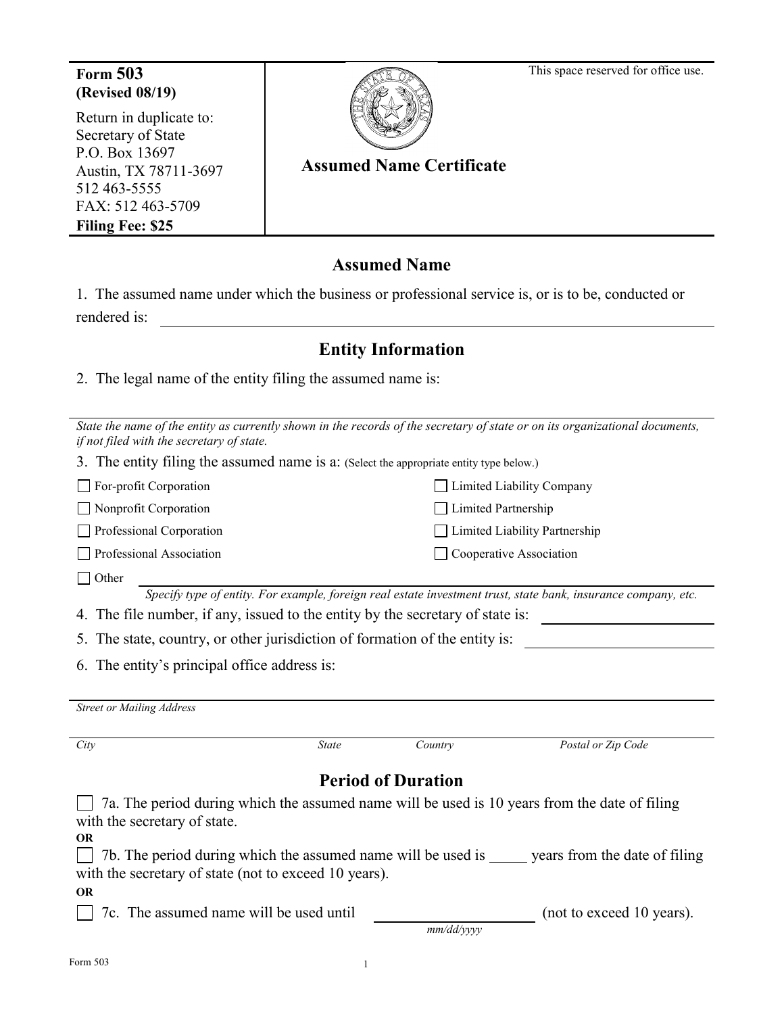This space reserved for office use.

## **Form 503 (Revised 08/19)**

Return in duplicate to: Secretary of State P.O. Box 13697 Austin, TX 78711-3697 512 463-5555 FAX: 512 463-5709 **Filing Fee: \$25** 



# **Assumed Name Certificate**

## **Assumed Name**

| 1. The assumed name under which the business or professional service is, or is to be, conducted or |  |  |  |
|----------------------------------------------------------------------------------------------------|--|--|--|
| rendered is:                                                                                       |  |  |  |

## **Entity Information**

2. The legal name of the entity filing the assumed name is:

| State the name of the entity as currently shown in the records of the secretary of state or on its organizational documents,<br>if not filed with the secretary of state. |                           |                               |  |  |  |  |  |  |  |
|---------------------------------------------------------------------------------------------------------------------------------------------------------------------------|---------------------------|-------------------------------|--|--|--|--|--|--|--|
| 3. The entity filing the assumed name is a: (Select the appropriate entity type below.)                                                                                   |                           |                               |  |  |  |  |  |  |  |
| For-profit Corporation                                                                                                                                                    |                           | Limited Liability Company     |  |  |  |  |  |  |  |
| Nonprofit Corporation                                                                                                                                                     | Limited Partnership       |                               |  |  |  |  |  |  |  |
| Professional Corporation                                                                                                                                                  |                           | Limited Liability Partnership |  |  |  |  |  |  |  |
| Professional Association                                                                                                                                                  |                           | Cooperative Association       |  |  |  |  |  |  |  |
| Other                                                                                                                                                                     |                           |                               |  |  |  |  |  |  |  |
| Specify type of entity. For example, foreign real estate investment trust, state bank, insurance company, etc.                                                            |                           |                               |  |  |  |  |  |  |  |
| The file number, if any, issued to the entity by the secretary of state is:<br>4.                                                                                         |                           |                               |  |  |  |  |  |  |  |
| The state, country, or other jurisdiction of formation of the entity is:                                                                                                  |                           |                               |  |  |  |  |  |  |  |
| The entity's principal office address is:<br>6.                                                                                                                           |                           |                               |  |  |  |  |  |  |  |
|                                                                                                                                                                           |                           |                               |  |  |  |  |  |  |  |
|                                                                                                                                                                           |                           |                               |  |  |  |  |  |  |  |
| <b>Street or Mailing Address</b>                                                                                                                                          |                           |                               |  |  |  |  |  |  |  |
|                                                                                                                                                                           |                           |                               |  |  |  |  |  |  |  |
| City<br><b>State</b>                                                                                                                                                      | Country                   | Postal or Zip Code            |  |  |  |  |  |  |  |
|                                                                                                                                                                           |                           |                               |  |  |  |  |  |  |  |
|                                                                                                                                                                           | <b>Period of Duration</b> |                               |  |  |  |  |  |  |  |
| 7a. The period during which the assumed name will be used is 10 years from the date of filing                                                                             |                           |                               |  |  |  |  |  |  |  |
| with the secretary of state.                                                                                                                                              |                           |                               |  |  |  |  |  |  |  |
| <b>OR</b>                                                                                                                                                                 |                           |                               |  |  |  |  |  |  |  |
| 7b. The period during which the assumed name will be used is seen years from the date of filing<br>with the secretary of state (not to exceed 10 years).                  |                           |                               |  |  |  |  |  |  |  |
| <b>OR</b>                                                                                                                                                                 |                           |                               |  |  |  |  |  |  |  |
| 7c. The assumed name will be used until                                                                                                                                   |                           | (not to exceed 10 years).     |  |  |  |  |  |  |  |